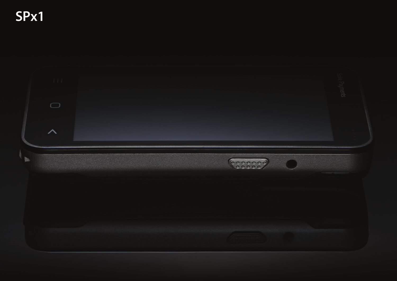